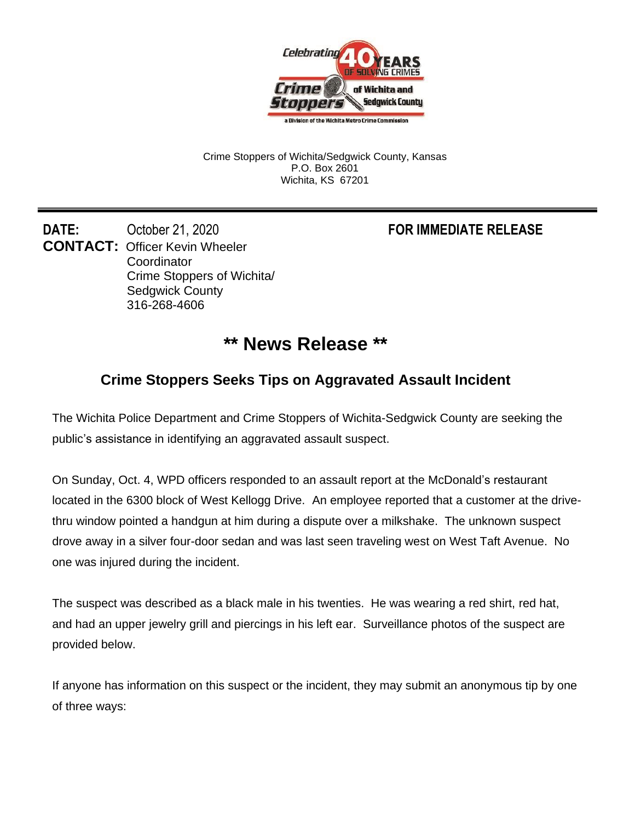

Crime Stoppers of Wichita/Sedgwick County, Kansas P.O. Box 2601 Wichita, KS 67201

**DATE:** October 21, 2020 **FOR IMMEDIATE RELEASE CONTACT:** Officer Kevin Wheeler **Coordinator** Crime Stoppers of Wichita/ Sedgwick County 316-268-4606

## **\*\* News Release \*\***

## **Crime Stoppers Seeks Tips on Aggravated Assault Incident**

The Wichita Police Department and Crime Stoppers of Wichita-Sedgwick County are seeking the public's assistance in identifying an aggravated assault suspect.

On Sunday, Oct. 4, WPD officers responded to an assault report at the McDonald's restaurant located in the 6300 block of West Kellogg Drive. An employee reported that a customer at the drivethru window pointed a handgun at him during a dispute over a milkshake. The unknown suspect drove away in a silver four-door sedan and was last seen traveling west on West Taft Avenue. No one was injured during the incident.

The suspect was described as a black male in his twenties. He was wearing a red shirt, red hat, and had an upper jewelry grill and piercings in his left ear. Surveillance photos of the suspect are provided below.

If anyone has information on this suspect or the incident, they may submit an anonymous tip by one of three ways: